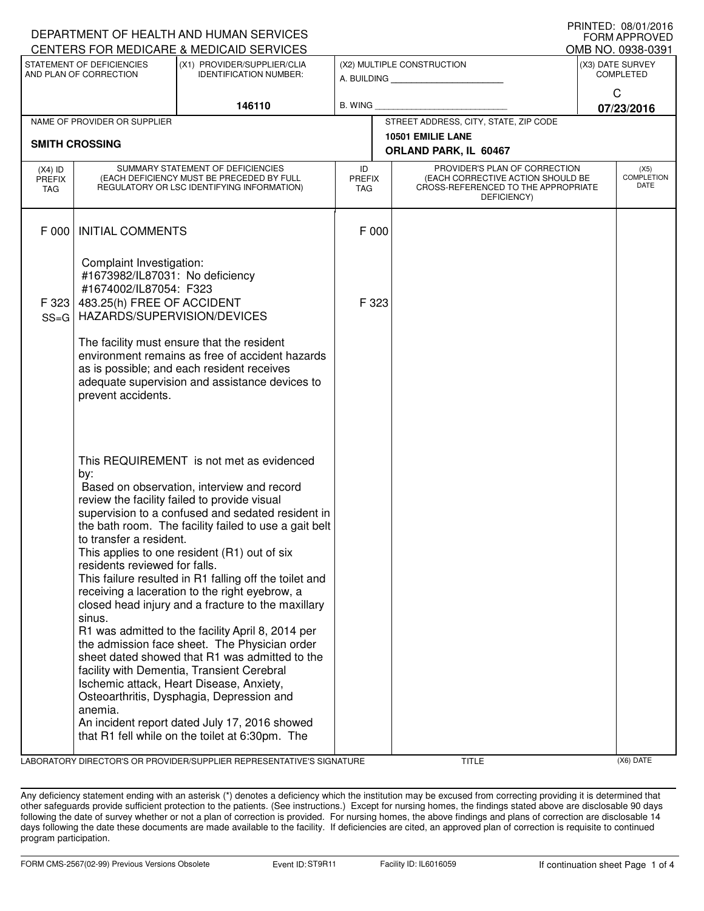| DEPARTMENT OF HEALTH AND HUMAN SERVICES<br><b>FORM APPROVED</b> |                                                                                                                                                                                                                                                                                                                                                                                                                                                                                                                                                                                                                                                                                                                                                                                                                                                                                                                                                                   |                                                                                                                                                                                               |                            |                                                                                                                                           |                 |                                          |  |  |
|-----------------------------------------------------------------|-------------------------------------------------------------------------------------------------------------------------------------------------------------------------------------------------------------------------------------------------------------------------------------------------------------------------------------------------------------------------------------------------------------------------------------------------------------------------------------------------------------------------------------------------------------------------------------------------------------------------------------------------------------------------------------------------------------------------------------------------------------------------------------------------------------------------------------------------------------------------------------------------------------------------------------------------------------------|-----------------------------------------------------------------------------------------------------------------------------------------------------------------------------------------------|----------------------------|-------------------------------------------------------------------------------------------------------------------------------------------|-----------------|------------------------------------------|--|--|
|                                                                 |                                                                                                                                                                                                                                                                                                                                                                                                                                                                                                                                                                                                                                                                                                                                                                                                                                                                                                                                                                   | CENTERS FOR MEDICARE & MEDICAID SERVICES                                                                                                                                                      |                            |                                                                                                                                           |                 | OMB NO. 0938-0391                        |  |  |
| STATEMENT OF DEFICIENCIES<br>AND PLAN OF CORRECTION             |                                                                                                                                                                                                                                                                                                                                                                                                                                                                                                                                                                                                                                                                                                                                                                                                                                                                                                                                                                   | (X1) PROVIDER/SUPPLIER/CLIA<br><b>IDENTIFICATION NUMBER:</b>                                                                                                                                  | (X2) MULTIPLE CONSTRUCTION |                                                                                                                                           |                 | (X3) DATE SURVEY<br><b>COMPLETED</b>     |  |  |
|                                                                 |                                                                                                                                                                                                                                                                                                                                                                                                                                                                                                                                                                                                                                                                                                                                                                                                                                                                                                                                                                   | 146110                                                                                                                                                                                        | <b>B. WING</b>             |                                                                                                                                           | C<br>07/23/2016 |                                          |  |  |
|                                                                 | NAME OF PROVIDER OR SUPPLIER                                                                                                                                                                                                                                                                                                                                                                                                                                                                                                                                                                                                                                                                                                                                                                                                                                                                                                                                      |                                                                                                                                                                                               |                            | STREET ADDRESS, CITY, STATE, ZIP CODE                                                                                                     |                 |                                          |  |  |
|                                                                 | <b>SMITH CROSSING</b>                                                                                                                                                                                                                                                                                                                                                                                                                                                                                                                                                                                                                                                                                                                                                                                                                                                                                                                                             |                                                                                                                                                                                               |                            | 10501 EMILIE LANE<br>ORLAND PARK, IL 60467                                                                                                |                 |                                          |  |  |
| $(X4)$ ID<br>PREFIX<br>TAG                                      | SUMMARY STATEMENT OF DEFICIENCIES<br>(EACH DEFICIENCY MUST BE PRECEDED BY FULL<br>REGULATORY OR LSC IDENTIFYING INFORMATION)                                                                                                                                                                                                                                                                                                                                                                                                                                                                                                                                                                                                                                                                                                                                                                                                                                      |                                                                                                                                                                                               |                            | PROVIDER'S PLAN OF CORRECTION<br>(EACH CORRECTIVE ACTION SHOULD BE<br><b>PREFIX</b><br>CROSS-REFERENCED TO THE APPROPRIATE<br>DEFICIENCY) |                 | (X5)<br><b>COMPLETION</b><br><b>DATE</b> |  |  |
| F 000                                                           |                                                                                                                                                                                                                                                                                                                                                                                                                                                                                                                                                                                                                                                                                                                                                                                                                                                                                                                                                                   | <b>INITIAL COMMENTS</b>                                                                                                                                                                       |                            | F 000                                                                                                                                     |                 |                                          |  |  |
| F 323<br>$SS = G$                                               | Complaint Investigation:<br>#1673982/IL87031: No deficiency<br>#1674002/IL87054: F323<br>483.25(h) FREE OF ACCIDENT<br>HAZARDS/SUPERVISION/DEVICES<br>prevent accidents.                                                                                                                                                                                                                                                                                                                                                                                                                                                                                                                                                                                                                                                                                                                                                                                          | The facility must ensure that the resident<br>environment remains as free of accident hazards<br>as is possible; and each resident receives<br>adequate supervision and assistance devices to | F 323                      |                                                                                                                                           |                 |                                          |  |  |
|                                                                 | This REQUIREMENT is not met as evidenced<br>by:<br>Based on observation, interview and record<br>review the facility failed to provide visual<br>supervision to a confused and sedated resident in<br>the bath room. The facility failed to use a gait belt<br>to transfer a resident.<br>This applies to one resident (R1) out of six<br>residents reviewed for falls.<br>This failure resulted in R1 falling off the toilet and<br>receiving a laceration to the right eyebrow, a<br>closed head injury and a fracture to the maxillary<br>sinus.<br>R1 was admitted to the facility April 8, 2014 per<br>the admission face sheet. The Physician order<br>sheet dated showed that R1 was admitted to the<br>facility with Dementia, Transient Cerebral<br>Ischemic attack, Heart Disease, Anxiety,<br>Osteoarthritis, Dysphagia, Depression and<br>anemia.<br>An incident report dated July 17, 2016 showed<br>that R1 fell while on the toilet at 6:30pm. The |                                                                                                                                                                                               |                            |                                                                                                                                           |                 |                                          |  |  |

LABORATORY DIRECTOR'S OR PROVIDER/SUPPLIER REPRESENTATIVE'S SIGNATURE TITLE (X6) DATE

PRINTED: 08/01/2016

Any deficiency statement ending with an asterisk (\*) denotes a deficiency which the institution may be excused from correcting providing it is determined that other safeguards provide sufficient protection to the patients. (See instructions.) Except for nursing homes, the findings stated above are disclosable 90 days following the date of survey whether or not a plan of correction is provided. For nursing homes, the above findings and plans of correction are disclosable 14 days following the date these documents are made available to the facility. If deficiencies are cited, an approved plan of correction is requisite to continued program participation.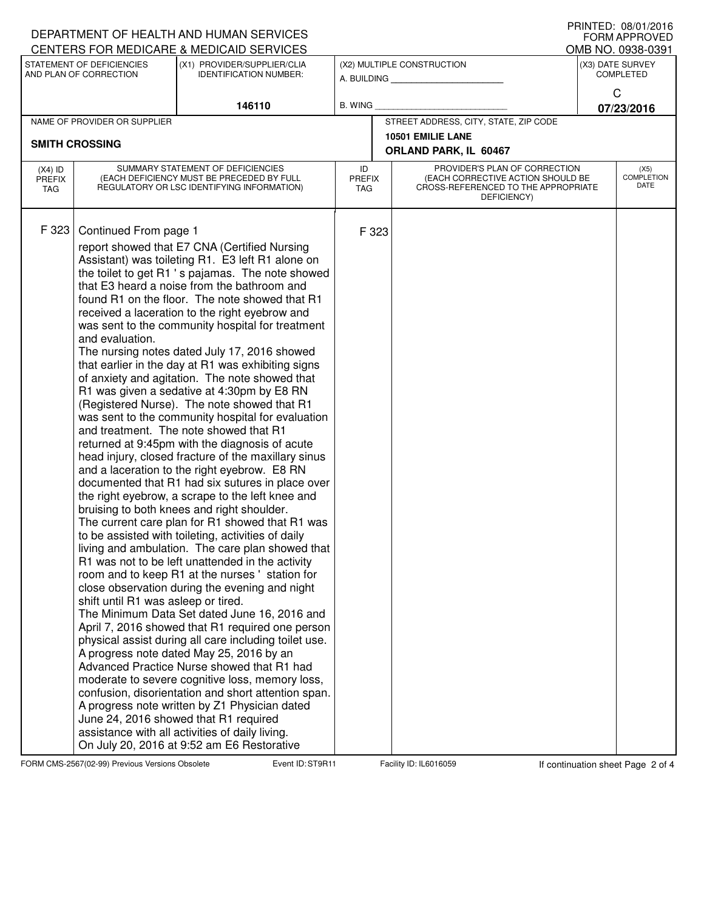| DEPARTMENT OF HEALTH AND HUMAN SERVICES<br>CENTERS FOR MEDICARE & MEDICAID SERVICES | I INIVILD. VO/VI/LVIV<br><b>FORM APPROVED</b><br>OMB NO. 0938-0391                                                                                                                                                                                                                                                                                                                                                                                                                                                                                                                                                                                                                                                                                                                                                                                                                                                                                                                                                                                                                                                                                                                                                                                                                                                                                                                                                                                                                                                                                                                                                                                                                                                                                                                                                                                                                                                                                   |                                                              |                                           |                             |                                                                                                                          |                                      |                                   |
|-------------------------------------------------------------------------------------|------------------------------------------------------------------------------------------------------------------------------------------------------------------------------------------------------------------------------------------------------------------------------------------------------------------------------------------------------------------------------------------------------------------------------------------------------------------------------------------------------------------------------------------------------------------------------------------------------------------------------------------------------------------------------------------------------------------------------------------------------------------------------------------------------------------------------------------------------------------------------------------------------------------------------------------------------------------------------------------------------------------------------------------------------------------------------------------------------------------------------------------------------------------------------------------------------------------------------------------------------------------------------------------------------------------------------------------------------------------------------------------------------------------------------------------------------------------------------------------------------------------------------------------------------------------------------------------------------------------------------------------------------------------------------------------------------------------------------------------------------------------------------------------------------------------------------------------------------------------------------------------------------------------------------------------------------|--------------------------------------------------------------|-------------------------------------------|-----------------------------|--------------------------------------------------------------------------------------------------------------------------|--------------------------------------|-----------------------------------|
| STATEMENT OF DEFICIENCIES<br>AND PLAN OF CORRECTION                                 |                                                                                                                                                                                                                                                                                                                                                                                                                                                                                                                                                                                                                                                                                                                                                                                                                                                                                                                                                                                                                                                                                                                                                                                                                                                                                                                                                                                                                                                                                                                                                                                                                                                                                                                                                                                                                                                                                                                                                      | (X1) PROVIDER/SUPPLIER/CLIA<br><b>IDENTIFICATION NUMBER:</b> | (X2) MULTIPLE CONSTRUCTION<br>A. BUILDING |                             |                                                                                                                          | (X3) DATE SURVEY<br><b>COMPLETED</b> |                                   |
|                                                                                     |                                                                                                                                                                                                                                                                                                                                                                                                                                                                                                                                                                                                                                                                                                                                                                                                                                                                                                                                                                                                                                                                                                                                                                                                                                                                                                                                                                                                                                                                                                                                                                                                                                                                                                                                                                                                                                                                                                                                                      | 146110                                                       | B. WING                                   |                             |                                                                                                                          | C<br>07/23/2016                      |                                   |
| NAME OF PROVIDER OR SUPPLIER                                                        |                                                                                                                                                                                                                                                                                                                                                                                                                                                                                                                                                                                                                                                                                                                                                                                                                                                                                                                                                                                                                                                                                                                                                                                                                                                                                                                                                                                                                                                                                                                                                                                                                                                                                                                                                                                                                                                                                                                                                      |                                                              |                                           |                             | STREET ADDRESS, CITY, STATE, ZIP CODE                                                                                    |                                      |                                   |
| <b>SMITH CROSSING</b>                                                               |                                                                                                                                                                                                                                                                                                                                                                                                                                                                                                                                                                                                                                                                                                                                                                                                                                                                                                                                                                                                                                                                                                                                                                                                                                                                                                                                                                                                                                                                                                                                                                                                                                                                                                                                                                                                                                                                                                                                                      |                                                              |                                           |                             | 10501 EMILIE LANE<br>ORLAND PARK, IL 60467                                                                               |                                      |                                   |
| $(X4)$ ID<br><b>PREFIX</b><br>TAG                                                   | SUMMARY STATEMENT OF DEFICIENCIES<br>(EACH DEFICIENCY MUST BE PRECEDED BY FULL<br>REGULATORY OR LSC IDENTIFYING INFORMATION)                                                                                                                                                                                                                                                                                                                                                                                                                                                                                                                                                                                                                                                                                                                                                                                                                                                                                                                                                                                                                                                                                                                                                                                                                                                                                                                                                                                                                                                                                                                                                                                                                                                                                                                                                                                                                         |                                                              |                                           | <b>PREFIX</b><br><b>TAG</b> | PROVIDER'S PLAN OF CORRECTION<br>(EACH CORRECTIVE ACTION SHOULD BE<br>CROSS-REFERENCED TO THE APPROPRIATE<br>DEFICIENCY) |                                      | (X5)<br><b>COMPLETION</b><br>DATE |
| F 323                                                                               | Continued From page 1<br>report showed that E7 CNA (Certified Nursing<br>Assistant) was toileting R1. E3 left R1 alone on<br>the toilet to get R1 's pajamas. The note showed<br>that E3 heard a noise from the bathroom and<br>found R1 on the floor. The note showed that R1<br>received a laceration to the right eyebrow and<br>was sent to the community hospital for treatment<br>and evaluation.<br>The nursing notes dated July 17, 2016 showed<br>that earlier in the day at R1 was exhibiting signs<br>of anxiety and agitation. The note showed that<br>R1 was given a sedative at 4:30pm by E8 RN<br>(Registered Nurse). The note showed that R1<br>was sent to the community hospital for evaluation<br>and treatment. The note showed that R1<br>returned at 9:45pm with the diagnosis of acute<br>head injury, closed fracture of the maxillary sinus<br>and a laceration to the right eyebrow. E8 RN<br>documented that R1 had six sutures in place over<br>the right eyebrow, a scrape to the left knee and<br>bruising to both knees and right shoulder.<br>The current care plan for R1 showed that R1 was<br>to be assisted with toileting, activities of daily<br>living and ambulation. The care plan showed that<br>R1 was not to be left unattended in the activity<br>room and to keep R1 at the nurses 'station for<br>close observation during the evening and night<br>shift until R1 was asleep or tired.<br>The Minimum Data Set dated June 16, 2016 and<br>April 7, 2016 showed that R1 required one person<br>physical assist during all care including toilet use.<br>A progress note dated May 25, 2016 by an<br>Advanced Practice Nurse showed that R1 had<br>moderate to severe cognitive loss, memory loss,<br>confusion, disorientation and short attention span.<br>A progress note written by Z1 Physician dated<br>June 24, 2016 showed that R1 required<br>assistance with all activities of daily living. |                                                              |                                           | F 323                       |                                                                                                                          |                                      |                                   |

FORM CMS-2567(02-99) Previous Versions Obsolete State Stevent ID: ST9R11 Facility ID: IL6016059 If continuation sheet Page 2 of 4

PRINTED: 08/01/2016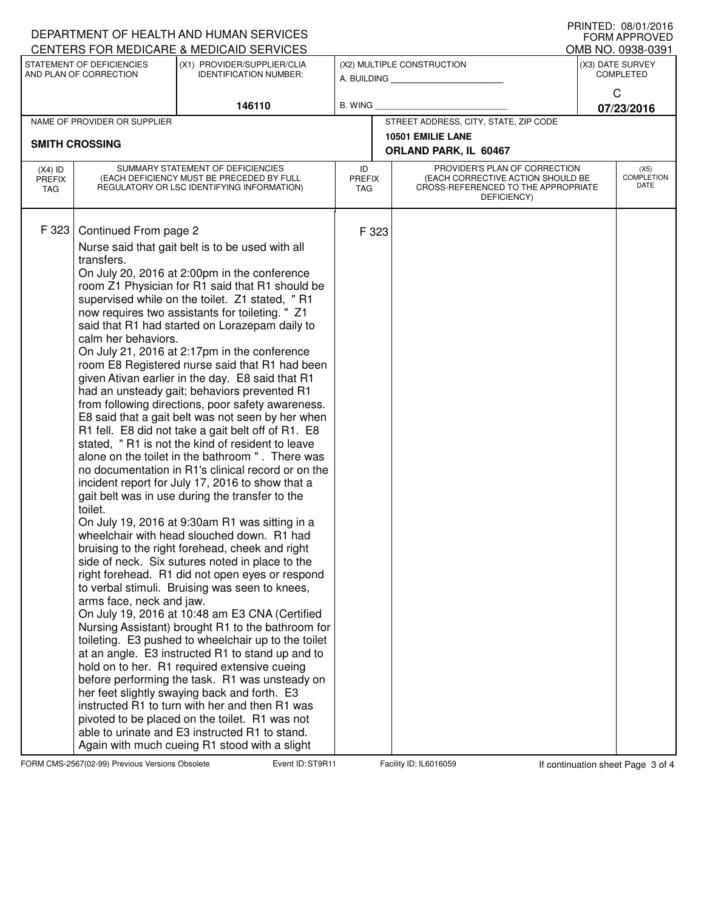| DEPARTMENT OF HEALTH AND HUMAN SERVICES                                                         | I INIVILD. VO/VI/LVIV<br><b>FORM APPROVED</b><br>OMB NO. 0938-0391                                                           |                                                                                                                                                                                                                                                                                                                                                                                                                                                                                                                                                                                                                                                                                                                                                                                                                                                                                                                                                                                                                                                                                                                                                                                                                                                                                                                                                                                                                                                                                                                                                                                                                                                                                                                                                                                                                      |                                           |                             |                                                                                                                          |                                      |                                   |  |
|-------------------------------------------------------------------------------------------------|------------------------------------------------------------------------------------------------------------------------------|----------------------------------------------------------------------------------------------------------------------------------------------------------------------------------------------------------------------------------------------------------------------------------------------------------------------------------------------------------------------------------------------------------------------------------------------------------------------------------------------------------------------------------------------------------------------------------------------------------------------------------------------------------------------------------------------------------------------------------------------------------------------------------------------------------------------------------------------------------------------------------------------------------------------------------------------------------------------------------------------------------------------------------------------------------------------------------------------------------------------------------------------------------------------------------------------------------------------------------------------------------------------------------------------------------------------------------------------------------------------------------------------------------------------------------------------------------------------------------------------------------------------------------------------------------------------------------------------------------------------------------------------------------------------------------------------------------------------------------------------------------------------------------------------------------------------|-------------------------------------------|-----------------------------|--------------------------------------------------------------------------------------------------------------------------|--------------------------------------|-----------------------------------|--|
| CENTERS FOR MEDICARE & MEDICAID SERVICES<br>STATEMENT OF DEFICIENCIES<br>AND PLAN OF CORRECTION |                                                                                                                              | (X1) PROVIDER/SUPPLIER/CLIA<br><b>IDENTIFICATION NUMBER:</b>                                                                                                                                                                                                                                                                                                                                                                                                                                                                                                                                                                                                                                                                                                                                                                                                                                                                                                                                                                                                                                                                                                                                                                                                                                                                                                                                                                                                                                                                                                                                                                                                                                                                                                                                                         | (X2) MULTIPLE CONSTRUCTION<br>A. BUILDING |                             |                                                                                                                          | (X3) DATE SURVEY<br><b>COMPLETED</b> |                                   |  |
|                                                                                                 |                                                                                                                              | 146110                                                                                                                                                                                                                                                                                                                                                                                                                                                                                                                                                                                                                                                                                                                                                                                                                                                                                                                                                                                                                                                                                                                                                                                                                                                                                                                                                                                                                                                                                                                                                                                                                                                                                                                                                                                                               | B. WING                                   |                             |                                                                                                                          | $\mathsf{C}$<br>07/23/2016           |                                   |  |
|                                                                                                 | NAME OF PROVIDER OR SUPPLIER                                                                                                 |                                                                                                                                                                                                                                                                                                                                                                                                                                                                                                                                                                                                                                                                                                                                                                                                                                                                                                                                                                                                                                                                                                                                                                                                                                                                                                                                                                                                                                                                                                                                                                                                                                                                                                                                                                                                                      |                                           |                             | STREET ADDRESS, CITY, STATE, ZIP CODE                                                                                    |                                      |                                   |  |
| <b>SMITH CROSSING</b>                                                                           |                                                                                                                              |                                                                                                                                                                                                                                                                                                                                                                                                                                                                                                                                                                                                                                                                                                                                                                                                                                                                                                                                                                                                                                                                                                                                                                                                                                                                                                                                                                                                                                                                                                                                                                                                                                                                                                                                                                                                                      |                                           |                             | 10501 EMILIE LANE<br>ORLAND PARK, IL 60467                                                                               |                                      |                                   |  |
| $(X4)$ ID<br><b>PREFIX</b><br><b>TAG</b>                                                        | SUMMARY STATEMENT OF DEFICIENCIES<br>(EACH DEFICIENCY MUST BE PRECEDED BY FULL<br>REGULATORY OR LSC IDENTIFYING INFORMATION) |                                                                                                                                                                                                                                                                                                                                                                                                                                                                                                                                                                                                                                                                                                                                                                                                                                                                                                                                                                                                                                                                                                                                                                                                                                                                                                                                                                                                                                                                                                                                                                                                                                                                                                                                                                                                                      |                                           | <b>PREFIX</b><br><b>TAG</b> | PROVIDER'S PLAN OF CORRECTION<br>(EACH CORRECTIVE ACTION SHOULD BE<br>CROSS-REFERENCED TO THE APPROPRIATE<br>DEFICIENCY) |                                      | (X5)<br><b>COMPLETION</b><br>DATE |  |
| F 323                                                                                           | transfers.<br>toilet.<br>able to urinate and E3 instructed R1 to stand.<br>Again with much cueing R1 stood with a slight     | Continued From page 2<br>Nurse said that gait belt is to be used with all<br>On July 20, 2016 at 2:00pm in the conference<br>room Z1 Physician for R1 said that R1 should be<br>supervised while on the toilet. Z1 stated, "R1<br>now requires two assistants for toileting. " Z1<br>said that R1 had started on Lorazepam daily to<br>calm her behaviors.<br>On July 21, 2016 at 2:17pm in the conference<br>room E8 Registered nurse said that R1 had been<br>given Ativan earlier in the day. E8 said that R1<br>had an unsteady gait; behaviors prevented R1<br>from following directions, poor safety awareness.<br>E8 said that a gait belt was not seen by her when<br>R1 fell. E8 did not take a gait belt off of R1. E8<br>stated, "R1 is not the kind of resident to leave<br>alone on the toilet in the bathroom ". There was<br>no documentation in R1's clinical record or on the<br>incident report for July 17, 2016 to show that a<br>gait belt was in use during the transfer to the<br>On July 19, 2016 at 9:30am R1 was sitting in a<br>wheelchair with head slouched down. R1 had<br>bruising to the right forehead, cheek and right<br>side of neck. Six sutures noted in place to the<br>right forehead. R1 did not open eyes or respond<br>to verbal stimuli. Bruising was seen to knees,<br>arms face, neck and jaw.<br>On July 19, 2016 at 10:48 am E3 CNA (Certified<br>Nursing Assistant) brought R1 to the bathroom for<br>toileting. E3 pushed to wheelchair up to the toilet<br>at an angle. E3 instructed R1 to stand up and to<br>hold on to her. R1 required extensive cueing<br>before performing the task. R1 was unsteady on<br>her feet slightly swaying back and forth. E3<br>instructed R1 to turn with her and then R1 was<br>pivoted to be placed on the toilet. R1 was not |                                           | F 323                       |                                                                                                                          |                                      |                                   |  |

FORM CMS-2567(02-99) Previous Versions Obsolete State Stevent ID: ST9R11 Facility ID: IL6016059 If continuation sheet Page 3 of 4

PRINTED: 08/01/2016